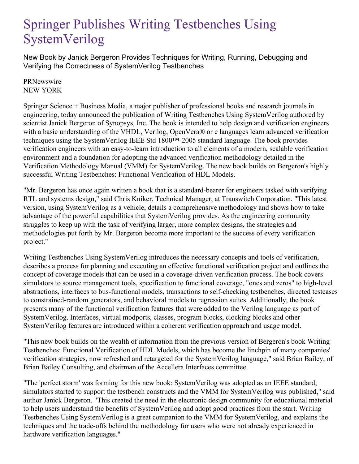## Springer Publishes Writing Testbenches Using SystemVerilog

New Book by Janick Bergeron Provides Techniques for Writing, Running, Debugging and Verifying the Correctness of SystemVerilog Testbenches

**PRNewswire** NEW YORK

Springer Science + Business Media, a major publisher of professional books and research journals in engineering, today announced the publication of Writing Testbenches Using SystemVerilog authored by scientist Janick Bergeron of Synopsys, Inc. The book is intended to help design and verification engineers with a basic understanding of the VHDL, Verilog, OpenVera® or e languages learn advanced verification techniques using the SystemVerilog IEEE Std 1800™-2005 standard language. The book provides verification engineers with an easy-to-learn introduction to all elements of a modern, scalable verification environment and a foundation for adopting the advanced verification methodology detailed in the Verification Methodology Manual (VMM) for SystemVerilog. The new book builds on Bergeron's highly successful Writing Testbenches: Functional Verification of HDL Models.

"Mr. Bergeron has once again written a book that is a standard-bearer for engineers tasked with verifying RTL and systems design," said Chris Kniker, Technical Manager, at Transwitch Corporation. "This latest version, using SystemVerilog as a vehicle, details a comprehensive methodology and shows how to take advantage of the powerful capabilities that SystemVerilog provides. As the engineering community struggles to keep up with the task of verifying larger, more complex designs, the strategies and methodologies put forth by Mr. Bergeron become more important to the success of every verification project."

Writing Testbenches Using SystemVerilog introduces the necessary concepts and tools of verification, describes a process for planning and executing an effective functional verification project and outlines the concept of coverage models that can be used in a coverage-driven verification process. The book covers simulators to source management tools, specification to functional coverage, "ones and zeros" to high-level abstractions, interfaces to bus-functional models, transactions to self-checking testbenches, directed testcases to constrained-random generators, and behavioral models to regression suites. Additionally, the book presents many of the functional verification features that were added to the Verilog language as part of SystemVerilog. Interfaces, virtual modports, classes, program blocks, clocking blocks and other SystemVerilog features are introduced within a coherent verification approach and usage model.

"This new book builds on the wealth of information from the previous version of Bergeron's book Writing Testbenches: Functional Verification of HDL Models, which has become the linchpin of many companies' verification strategies, now refreshed and retargeted for the SystemVerilog language," said Brian Bailey, of Brian Bailey Consulting, and chairman of the Accellera Interfaces committee.

"The 'perfect storm' was forming for this new book: SystemVerilog was adopted as an IEEE standard, simulators started to support the testbench constructs and the VMM for SystemVerilog was published," said author Janick Bergeron. "This created the need in the electronic design community for educational material to help users understand the benefits of SystemVerilog and adopt good practices from the start. Writing Testbenches Using SystemVerilog is a great companion to the VMM for SystemVerilog, and explains the techniques and the trade-offs behind the methodology for users who were not already experienced in hardware verification languages."